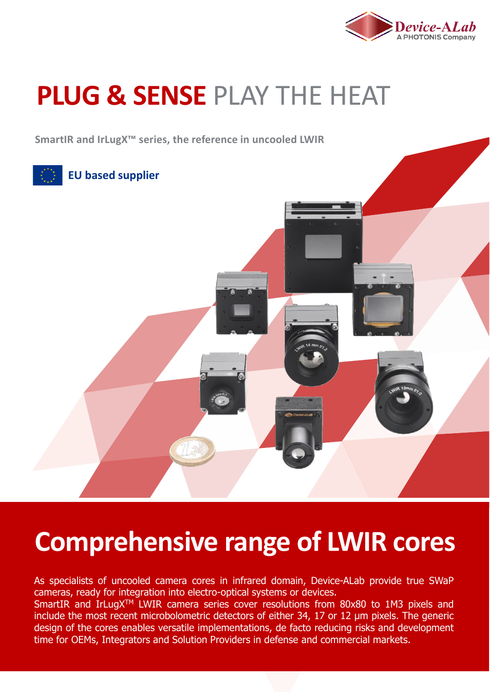

## **PLUG & SENSE** PLAY THE HEAT

**SmartIR and IrLugX™ series, the reference in uncooled LWIR**



## **Comprehensive range of LWIR cores**

As specialists of uncooled camera cores in infrared domain, Device-ALab provide true SWaP cameras, ready for integration into electro-optical systems or devices.

SmartIR and IrLugXTM LWIR camera series cover resolutions from 80x80 to 1M3 pixels and include the most recent microbolometric detectors of either 34, 17 or 12 µm pixels. The generic design of the cores enables versatile implementations, de facto reducing risks and development time for OEMs, Integrators and Solution Providers in defense and commercial markets.